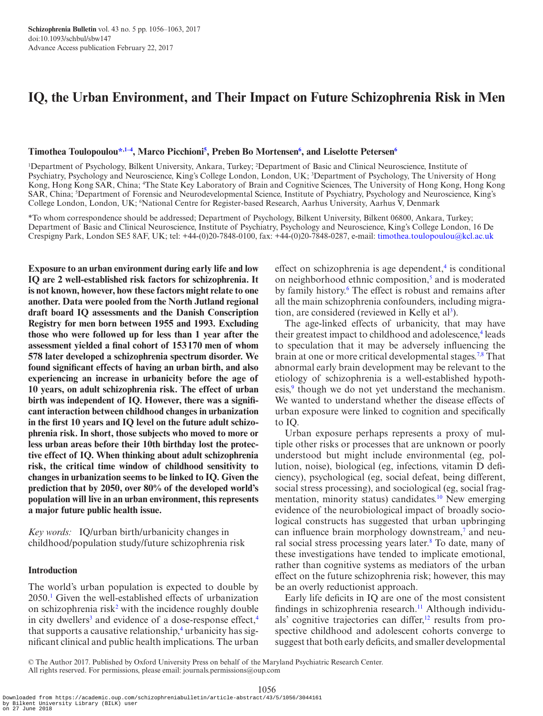# **IQ, the Urban Environment, and Their Impact on Future Schizophrenia Risk in Men**

### **Timothea Toulopoulo[u\\*](#page-0-0)[,1–4](#page-0-1), Marco Picchion[i5](#page-0-2) , Preben Bo Mortensen[6](#page-0-3) , and Liselotte Peterse[n6](#page-0-3)**

<span id="page-0-2"></span><span id="page-0-1"></span><sup>1</sup>Department of Psychology, Bilkent University, Ankara, Turkey; <sup>2</sup>Department of Basic and Clinical Neuroscience, Institute of Psychiatry, Psychology and Neuroscience, King's College London, London, UK; <sup>3</sup>Department of Psychology, The University of Hong Kong, Hong Kong SAR, China; <sup>4</sup>The State Key Laboratory of Brain and Cognitive Sciences, The University of Hong Kong, Hong Kong SAR, China; 5 Department of Forensic and Neurodevelopmental Science, Institute of Psychiatry, Psychology and Neuroscience, King's College London, London, UK; 'National Centre for Register-based Research, Aarhus University, Aarhus V, Denmark

<span id="page-0-3"></span><span id="page-0-0"></span>\*To whom correspondence should be addressed; Department of Psychology, Bilkent University, Bilkent 06800, Ankara, Turkey; Department of Basic and Clinical Neuroscience, Institute of Psychiatry, Psychology and Neuroscience, King's College London, 16 De Crespigny Park, London SE5 8AF, UK; tel: +44-(0)20-7848-0100, fax: +44-(0)20-7848-0287, e-mail: [timothea.toulopoulou@kcl.ac.uk](mailto:timothea.toulopoulou@kcl.ac.uk?subject=)

**Exposure to an urban environment during early life and low IQ are 2 well-established risk factors for schizophrenia. It is not known, however, how these factors might relate to one another. Data were pooled from the North Jutland regional draft board IQ assessments and the Danish Conscription Registry for men born between 1955 and 1993. Excluding those who were followed up for less than 1 year after the assessment yielded a final cohort of 153170 men of whom 578 later developed a schizophrenia spectrum disorder. We found significant effects of having an urban birth, and also experiencing an increase in urbanicity before the age of 10 years, on adult schizophrenia risk. The effect of urban birth was independent of IQ. However, there was a significant interaction between childhood changes in urbanization in the first 10 years and IQ level on the future adult schizophrenia risk. In short, those subjects who moved to more or less urban areas before their 10th birthday lost the protective effect of IQ. When thinking about adult schizophrenia risk, the critical time window of childhood sensitivity to changes in urbanization seems to be linked to IQ. Given the prediction that by 2050, over 80% of the developed world's population will live in an urban environment, this represents a major future public health issue.**

*Key words:* IQ/urban birth/urbanicity changes in childhood/population study/future schizophrenia risk

### **Introduction**

The world's urban population is expected to double by 2050.[1](#page-6-0) Given the well-established effects of urbanization on schizophrenia risk<sup>2</sup> with the incidence roughly double in city dwellers<sup>[3](#page-6-2)</sup> and evidence of a dose-response effect,<sup>[4](#page-6-3)</sup> that supports a causative relationship,<sup>[4](#page-6-3)</sup> urbanicity has significant clinical and public health implications. The urban

effect on schizophrenia is age dependent, $\frac{4}{3}$  is conditional on neighborhood ethnic composition, $5$  and is moderated by family history.<sup>[6](#page-6-5)</sup> The effect is robust and remains after all the main schizophrenia confounders, including migration, are considered (reviewed in Kelly et  $al<sup>3</sup>$ ).

The age-linked effects of urbanicity, that may have their greatest impact to childhood and adolescence,<sup>4</sup> leads to speculation that it may be adversely influencing the brain at one or more critical developmental stages.<sup>[7](#page-6-6)[,8](#page-6-7)</sup> That abnormal early brain development may be relevant to the etiology of schizophrenia is a well-established hypoth-esis,<sup>[9](#page-6-8)</sup> though we do not yet understand the mechanism. We wanted to understand whether the disease effects of urban exposure were linked to cognition and specifically to IQ.

Urban exposure perhaps represents a proxy of multiple other risks or processes that are unknown or poorly understood but might include environmental (eg, pollution, noise), biological (eg, infections, vitamin D deficiency), psychological (eg, social defeat, being different, social stress processing), and sociological (eg, social fragmentation, minority status) candidates.<sup>10</sup> New emerging evidence of the neurobiological impact of broadly sociological constructs has suggested that urban upbringing can influence brain morphology downstream,<sup>7</sup> and neu-ral social stress processing years later.<sup>[8](#page-6-7)</sup> To date, many of these investigations have tended to implicate emotional, rather than cognitive systems as mediators of the urban effect on the future schizophrenia risk; however, this may be an overly reductionist approach.

Early life deficits in IQ are one of the most consistent findings in schizophrenia research.<sup>11</sup> Although individuals' cognitive trajectories can differ,<sup>12</sup> results from prospective childhood and adolescent cohorts converge to suggest that both early deficits, and smaller developmental

1056 Downloaded from https://academic.oup.com/schizophreniabulletin/article-abstract/43/5/1056/3044161 by Bilkent University Library (BILK) user on 27 June 2018

<sup>©</sup> The Author 2017. Published by Oxford University Press on behalf of the Maryland Psychiatric Research Center. All rights reserved. For permissions, please email: journals.permissions@oup.com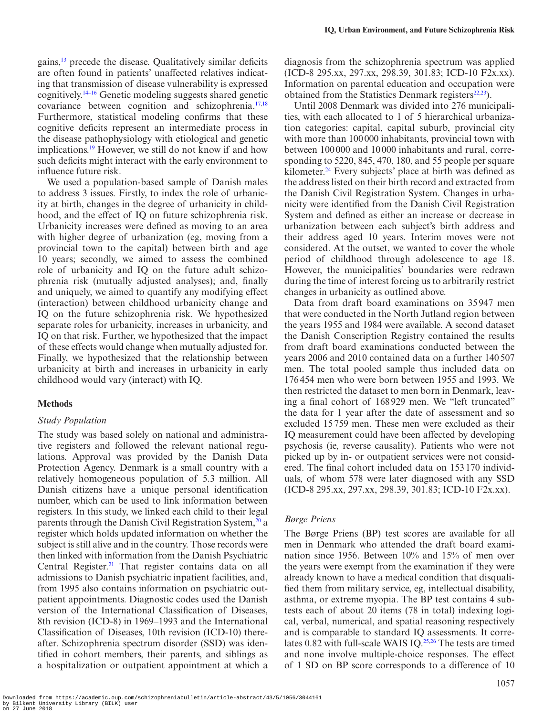gains,<sup>13</sup> precede the disease. Qualitatively similar deficits are often found in patients' unaffected relatives indicating that transmission of disease vulnerability is expressed cognitively[.14–16](#page-6-13) Genetic modeling suggests shared genetic covariance between cognition and schizophrenia[.17](#page-6-14),[18](#page-6-15) Furthermore, statistical modeling confirms that these cognitive deficits represent an intermediate process in the disease pathophysiology with etiological and genetic implications.<sup>19</sup> However, we still do not know if and how such deficits might interact with the early environment to influence future risk.

We used a population-based sample of Danish males to address 3 issues. Firstly, to index the role of urbanicity at birth, changes in the degree of urbanicity in childhood, and the effect of IQ on future schizophrenia risk. Urbanicity increases were defined as moving to an area with higher degree of urbanization (eg, moving from a provincial town to the capital) between birth and age 10 years; secondly, we aimed to assess the combined role of urbanicity and IQ on the future adult schizophrenia risk (mutually adjusted analyses); and, finally and uniquely, we aimed to quantify any modifying effect (interaction) between childhood urbanicity change and IQ on the future schizophrenia risk. We hypothesized separate roles for urbanicity, increases in urbanicity, and IQ on that risk. Further, we hypothesized that the impact of these effects would change when mutually adjusted for. Finally, we hypothesized that the relationship between urbanicity at birth and increases in urbanicity in early childhood would vary (interact) with IQ.

### **Methods**

#### *Study Population*

The study was based solely on national and administrative registers and followed the relevant national regulations. Approval was provided by the Danish Data Protection Agency. Denmark is a small country with a relatively homogeneous population of 5.3 million. All Danish citizens have a unique personal identification number, which can be used to link information between registers. In this study, we linked each child to their legal parents through the Danish Civil Registration System,<sup>20</sup> a register which holds updated information on whether the subject is still alive and in the country. Those records were then linked with information from the Danish Psychiatric Central Register.<sup>21</sup> That register contains data on all admissions to Danish psychiatric inpatient facilities, and, from 1995 also contains information on psychiatric outpatient appointments. Diagnostic codes used the Danish version of the International Classification of Diseases, 8th revision (ICD-8) in 1969–1993 and the International Classification of Diseases, 10th revision (ICD-10) thereafter. Schizophrenia spectrum disorder (SSD) was identified in cohort members, their parents, and siblings as a hospitalization or outpatient appointment at which a

diagnosis from the schizophrenia spectrum was applied (ICD-8 295.xx, 297.xx, 298.39, 301.83; ICD-10 F2x.xx). Information on parental education and occupation were obtained from the Statistics Denmark registers $22,23$ ).

Until 2008 Denmark was divided into 276 municipalities, with each allocated to 1 of 5 hierarchical urbanization categories: capital, capital suburb, provincial city with more than 100000 inhabitants, provincial town with between 100 000 and 10 000 inhabitants and rural, corresponding to 5220, 845, 470, 180, and 55 people per square kilometer.<sup>24</sup> Every subjects' place at birth was defined as the address listed on their birth record and extracted from the Danish Civil Registration System. Changes in urbanicity were identified from the Danish Civil Registration System and defined as either an increase or decrease in urbanization between each subject's birth address and their address aged 10 years. Interim moves were not considered. At the outset, we wanted to cover the whole period of childhood through adolescence to age 18. However, the municipalities' boundaries were redrawn during the time of interest forcing us to arbitrarily restrict changes in urbanicity as outlined above.

Data from draft board examinations on 35947 men that were conducted in the North Jutland region between the years 1955 and 1984 were available. A second dataset the Danish Conscription Registry contained the results from draft board examinations conducted between the years 2006 and 2010 contained data on a further 140507 men. The total pooled sample thus included data on 176454 men who were born between 1955 and 1993. We then restricted the dataset to men born in Denmark, leaving a final cohort of 168929 men. We "left truncated" the data for 1 year after the date of assessment and so excluded 15759 men. These men were excluded as their IQ measurement could have been affected by developing psychosis (ie, reverse causality). Patients who were not picked up by in- or outpatient services were not considered. The final cohort included data on 153 170 individuals, of whom 578 were later diagnosed with any SSD (ICD-8 295.xx, 297.xx, 298.39, 301.83; ICD-10 F2x.xx).

### *Børge Priens*

The Børge Priens (BP) test scores are available for all men in Denmark who attended the draft board examination since 1956. Between 10% and 15% of men over the years were exempt from the examination if they were already known to have a medical condition that disqualified them from military service, eg, intellectual disability, asthma, or extreme myopia. The BP test contains 4 subtests each of about 20 items (78 in total) indexing logical, verbal, numerical, and spatial reasoning respectively and is comparable to standard IQ assessments. It correlates 0.82 with full-scale WAIS IQ.<sup>25,26</sup> The tests are timed and none involve multiple-choice responses. The effect of 1 SD on BP score corresponds to a difference of 10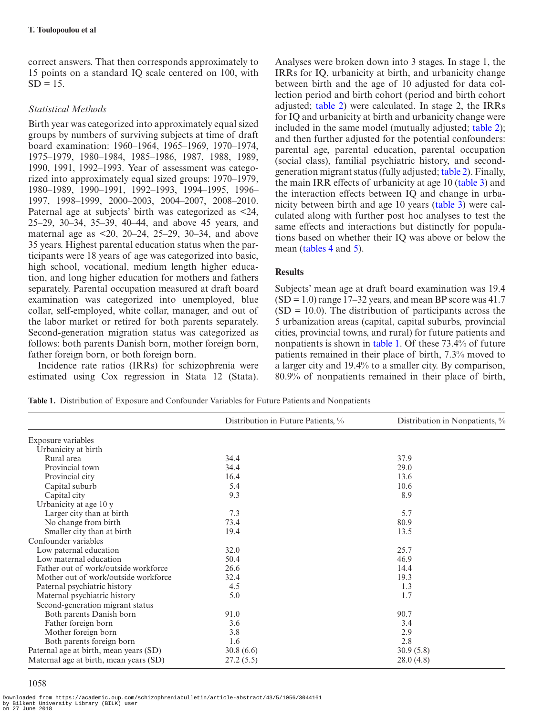correct answers. That then corresponds approximately to 15 points on a standard IQ scale centered on 100, with  $SD = 15$ .

# *Statistical Methods*

Birth year was categorized into approximately equal sized groups by numbers of surviving subjects at time of draft board examination: 1960–1964, 1965–1969, 1970–1974, 1975–1979, 1980–1984, 1985–1986, 1987, 1988, 1989, 1990, 1991, 1992–1993. Year of assessment was categorized into approximately equal sized groups: 1970–1979, 1980–1989, 1990–1991, 1992–1993, 1994–1995, 1996– 1997, 1998–1999, 2000–2003, 2004–2007, 2008–2010. Paternal age at subjects' birth was categorized as <24, 25–29, 30–34, 35–39, 40–44, and above 45 years, and maternal age as  $\leq 20$ , 20–24, 25–29, 30–34, and above 35 years. Highest parental education status when the participants were 18 years of age was categorized into basic, high school, vocational, medium length higher education, and long higher education for mothers and fathers separately. Parental occupation measured at draft board examination was categorized into unemployed, blue collar, self-employed, white collar, manager, and out of the labor market or retired for both parents separately. Second-generation migration status was categorized as follows: both parents Danish born, mother foreign born, father foreign born, or both foreign born.

Incidence rate ratios (IRRs) for schizophrenia were estimated using Cox regression in Stata 12 (Stata). Analyses were broken down into 3 stages. In stage 1, the IRRs for IQ, urbanicity at birth, and urbanicity change between birth and the age of 10 adjusted for data collection period and birth cohort (period and birth cohort adjusted; [table 2\)](#page-3-0) were calculated. In stage 2, the IRRs for IQ and urbanicity at birth and urbanicity change were included in the same model (mutually adjusted; [table 2\)](#page-3-0); and then further adjusted for the potential confounders: parental age, parental education, parental occupation (social class), familial psychiatric history, and secondgeneration migrant status (fully adjusted; [table 2](#page-3-0)). Finally, the main IRR effects of urbanicity at age 10 ([table 3](#page-4-0)) and the interaction effects between IQ and change in urbanicity between birth and age 10 years [\(table 3](#page-4-0)) were calculated along with further post hoc analyses to test the same effects and interactions but distinctly for populations based on whether their IQ was above or below the mean [\(tables 4](#page-4-1) and [5\)](#page-4-2).

# **Results**

Subjects' mean age at draft board examination was 19.4  $(SD = 1.0)$  range 17–32 years, and mean BP score was 41.7  $(SD = 10.0)$ . The distribution of participants across the 5 urbanization areas (capital, capital suburbs, provincial cities, provincial towns, and rural) for future patients and nonpatients is shown in [table 1](#page-2-0). Of these 73.4% of future patients remained in their place of birth, 7.3% moved to a larger city and 19.4% to a smaller city. By comparison, 80.9% of nonpatients remained in their place of birth,

<span id="page-2-0"></span>

|  | Table 1. Distribution of Exposure and Confounder Variables for Future Patients and Nonpatients |  |  |  |  |  |  |
|--|------------------------------------------------------------------------------------------------|--|--|--|--|--|--|
|--|------------------------------------------------------------------------------------------------|--|--|--|--|--|--|

|                                        | Distribution in Future Patients, % | Distribution in Nonpatients, % |
|----------------------------------------|------------------------------------|--------------------------------|
| Exposure variables                     |                                    |                                |
| Urbanicity at birth                    |                                    |                                |
| Rural area                             | 34.4                               | 37.9                           |
| Provincial town                        | 34.4                               | 29.0                           |
| Provincial city                        | 16.4                               | 13.6                           |
| Capital suburb                         | 5.4                                | 10.6                           |
| Capital city                           | 9.3                                | 8.9                            |
| Urbanicity at age 10 y                 |                                    |                                |
| Larger city than at birth              | 7.3                                | 5.7                            |
| No change from birth                   | 73.4                               | 80.9                           |
| Smaller city than at birth             | 19.4                               | 13.5                           |
| Confounder variables                   |                                    |                                |
| Low paternal education                 | 32.0                               | 25.7                           |
| Low maternal education                 | 50.4                               | 46.9                           |
| Father out of work/outside workforce   | 26.6                               | 14.4                           |
| Mother out of work/outside workforce   | 32.4                               | 19.3                           |
| Paternal psychiatric history           | 4.5                                | 1.3                            |
| Maternal psychiatric history           | 5.0                                | 1.7                            |
| Second-generation migrant status       |                                    |                                |
| Both parents Danish born               | 91.0                               | 90.7                           |
| Father foreign born                    | 3.6                                | 3.4                            |
| Mother foreign born                    | 3.8                                | 2.9                            |
| Both parents foreign born              | 1.6                                | 2.8                            |
| Paternal age at birth, mean years (SD) | 30.8(6.6)                          | 30.9(5.8)                      |
| Maternal age at birth, mean years (SD) | 27.2(5.5)                          | 28.0(4.8)                      |

# 1058

Downloaded from https://academic.oup.com/schizophreniabulletin/article-abstract/43/5/1056/3044161 by Bilkent University Library (BILK) user on 27 June 2018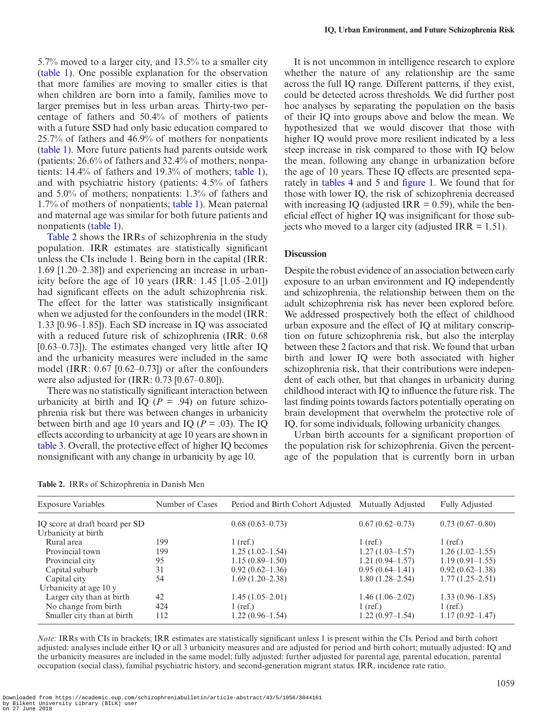5.7% moved to a larger city, and 13.5% to a smaller city [\(table 1](#page-2-0)). One possible explanation for the observation that more families are moving to smaller cities is that when children are born into a family, families move to larger premises but in less urban areas. Thirty-two percentage of fathers and 50.4% of mothers of patients with a future SSD had only basic education compared to 25.7% of fathers and 46.9% of mothers for nonpatients [\(table 1](#page-2-0)). More future patients had parents outside work (patients: 26.6% of fathers and 32.4% of mothers; nonpatients: 14.4% of fathers and 19.3% of mothers; [table 1\)](#page-2-0), and with psychiatric history (patients: 4.5% of fathers and 5.0% of mothers; nonpatients: 1.3% of fathers and 1.7% of mothers of nonpatients; [table 1](#page-2-0)). Mean paternal and maternal age was similar for both future patients and nonpatients ([table 1\)](#page-2-0).

[Table 2](#page-3-0) shows the IRRs of schizophrenia in the study population. IRR estimates are statistically significant unless the CIs include 1. Being born in the capital (IRR: 1.69 [1.20–2.38]) and experiencing an increase in urbanicity before the age of 10 years (IRR:  $1.45$  [1.05–2.01]) had significant effects on the adult schizophrenia risk. The effect for the latter was statistically insignificant when we adjusted for the confounders in the model (IRR: 1.33 [0.96–1.85]). Each SD increase in IQ was associated with a reduced future risk of schizophrenia (IRR: 0.68 [0.63–0.73]). The estimates changed very little after IQ and the urbanicity measures were included in the same model (IRR: 0.67 [0.62–0.73]) or after the confounders were also adjusted for (IRR: 0.73 [0.67–0.80]).

There was no statistically significant interaction between urbanicity at birth and IQ ( $P = .94$ ) on future schizophrenia risk but there was between changes in urbanicity between birth and age 10 years and IQ (*P* = .03). The IQ effects according to urbanicity at age 10 years are shown in [table 3](#page-4-0). Overall, the protective effect of higher IQ becomes nonsignificant with any change in urbanicity by age 10.

It is not uncommon in intelligence research to explore whether the nature of any relationship are the same across the full IQ range. Different patterns, if they exist, could be detected across thresholds. We did further post hoc analyses by separating the population on the basis of their IQ into groups above and below the mean. We hypothesized that we would discover that those with higher IQ would prove more resilient indicated by a less steep increase in risk compared to those with IQ below the mean, following any change in urbanization before the age of 10 years. These IQ effects are presented separately in [tables 4](#page-4-1) and [5](#page-4-2) and [figure 1](#page-4-3). We found that for those with lower IQ, the risk of schizophrenia decreased with increasing IQ (adjusted IRR  $= 0.59$ ), while the beneficial effect of higher IQ was insignificant for those subjects who moved to a larger city (adjusted IRR  $= 1.51$ ).

### **Discussion**

Despite the robust evidence of an association between early exposure to an urban environment and IQ independently and schizophrenia, the relationship between them on the adult schizophrenia risk has never been explored before. We addressed prospectively both the effect of childhood urban exposure and the effect of IQ at military conscription on future schizophrenia risk, but also the interplay between these 2 factors and that risk. We found that urban birth and lower IQ were both associated with higher schizophrenia risk, that their contributions were independent of each other, but that changes in urbanicity during childhood interact with IQ to influence the future risk. The last finding points towards factors potentially operating on brain development that overwhelm the protective role of IQ, for some individuals, following urbanicity changes.

Urban birth accounts for a significant proportion of the population risk for schizophrenia. Given the percentage of the population that is currently born in urban

<span id="page-3-0"></span>**Table 2.** IRRs of Schizophrenia in Danish Men

| <b>Exposure Variables</b>      | Number of Cases | Period and Birth Cohort Adjusted | Mutually Adjusted   | <b>Fully Adjusted</b> |
|--------------------------------|-----------------|----------------------------------|---------------------|-----------------------|
| IQ score at draft board per SD |                 | $0.68(0.63 - 0.73)$              | $0.67(0.62 - 0.73)$ | $0.73(0.67-0.80)$     |
| Urbanicity at birth            |                 |                                  |                     |                       |
| Rural area                     | 199             | $1$ (ref.)                       | $1$ (ref.)          | $1$ (ref.)            |
| Provincial town                | 199             | $1.25(1.02-1.54)$                | $1.27(1.03-1.57)$   | $1.26(1.02-1.55)$     |
| Provincial city                | 95              | $1.15(0.89-1.50)$                | $1.21(0.94 - 1.57)$ | $1.19(0.91 - 1.55)$   |
| Capital suburb                 | 31              | $0.92(0.62 - 1.36)$              | $0.95(0.64-1.41)$   | $0.92(0.62 - 1.38)$   |
| Capital city                   | 54              | $1.69(1.20-2.38)$                | $1.80(1.28 - 2.54)$ | $1.77(1.25 - 2.51)$   |
| Urbanicity at age 10 y         |                 |                                  |                     |                       |
| Larger city than at birth      | 42              | $1.45(1.05-2.01)$                | $1.46(1.06-2.02)$   | $1.33(0.96-1.85)$     |
| No change from birth           | 424             | $1$ (ref.)                       | $1$ (ref.)          | $1$ (ref.)            |
| Smaller city than at birth     | 112             | $1.22(0.96-1.54)$                | $1.22(0.97-1.54)$   | $1.17(0.92 - 1.47)$   |

*Note:* IRRs with CIs in brackets; IRR estimates are statistically significant unless 1 is present within the CIs. Period and birth cohort adjusted: analyses include either IQ or all 3 urbanicity measures and are adjusted for period and birth cohort; mutually adjusted: IQ and the urbanicity measures are included in the same model; fully adjusted: further adjusted for parental age, parental education, parental occupation (social class), familial psychiatric history, and second-generation migrant status. IRR, incidence rate ratio.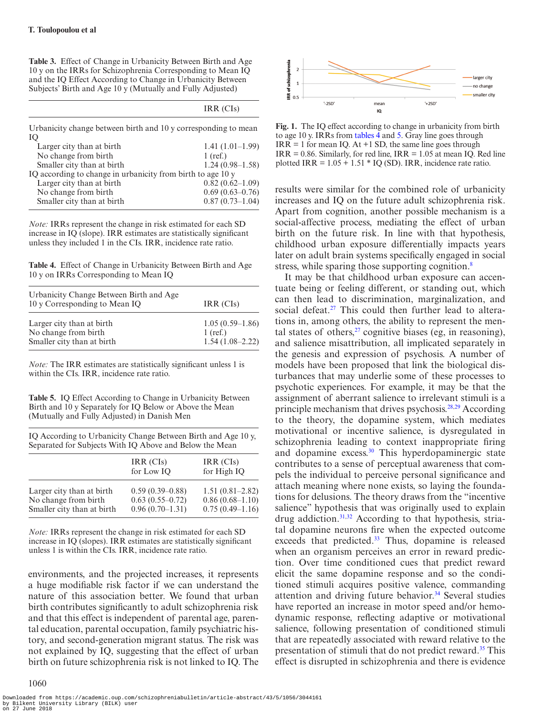<span id="page-4-0"></span>**Table 3.** Effect of Change in Urbanicity Between Birth and Age 10 y on the IRRs for Schizophrenia Corresponding to Mean IQ and the IQ Effect According to Change in Urbanicity Between Subjects' Birth and Age 10 y (Mutually and Fully Adjusted)

|                                                                | IRR (CIs)           |
|----------------------------------------------------------------|---------------------|
| Urbanicity change between birth and 10 y corresponding to mean |                     |
| IQ                                                             |                     |
| Larger city than at birth                                      | $1.41(1.01-1.99)$   |
| No change from birth                                           | $1$ (ref.)          |
| Smaller city than at birth                                     | $1.24(0.98-1.58)$   |
| IO according to change in urbanicity from birth to age 10 y    |                     |
| Larger city than at birth                                      | $0.82(0.62 - 1.09)$ |
| No change from birth                                           | $0.69(0.63 - 0.76)$ |
| Smaller city than at birth                                     | $0.87(0.73-1.04)$   |

*Note:* IRRs represent the change in risk estimated for each SD increase in IQ (slope). IRR estimates are statistically significant unless they included 1 in the CIs. IRR, incidence rate ratio.

<span id="page-4-1"></span>**Table 4.** Effect of Change in Urbanicity Between Birth and Age 10 y on IRRs Corresponding to Mean IQ

| Urbanicity Change Between Birth and Age<br>10 y Corresponding to Mean IQ | IRR (CIs)                       |
|--------------------------------------------------------------------------|---------------------------------|
| Larger city than at birth<br>No change from birth                        | $1.05(0.59-1.86)$<br>$1$ (ref.) |
| Smaller city than at birth                                               | $1.54(1.08-2.22)$               |

*Note:* The IRR estimates are statistically significant unless 1 is within the CIs. IRR, incidence rate ratio.

<span id="page-4-2"></span>**Table 5.** IQ Effect According to Change in Urbanicity Between Birth and 10 y Separately for IQ Below or Above the Mean (Mutually and Fully Adjusted) in Danish Men

IQ According to Urbanicity Change Between Birth and Age 10 y, Separated for Subjects With IQ Above and Below the Mean

|                            | IRR (CIs)<br>for Low IO | IRR (CIs)<br>for High IQ |
|----------------------------|-------------------------|--------------------------|
| Larger city than at birth  | $0.59(0.39-0.88)$       | $1.51(0.81 - 2.82)$      |
| No change from birth       | $0.63(0.55-0.72)$       | $0.86(0.68-1.10)$        |
| Smaller city than at birth | $0.96(0.70-1.31)$       | $0.75(0.49-1.16)$        |

*Note:* IRRs represent the change in risk estimated for each SD increase in IQ (slopes). IRR estimates are statistically significant unless 1 is within the CIs. IRR, incidence rate ratio.

environments, and the projected increases, it represents a huge modifiable risk factor if we can understand the nature of this association better. We found that urban birth contributes significantly to adult schizophrenia risk and that this effect is independent of parental age, parental education, parental occupation, family psychiatric history, and second-generation migrant status. The risk was not explained by IQ, suggesting that the effect of urban birth on future schizophrenia risk is not linked to IQ. The

1060



<span id="page-4-3"></span>**Fig. 1.** The IQ effect according to change in urbanicity from birth to age 10 y. IRRs from [tables 4](#page-4-1) and [5.](#page-4-2) Gray line goes through  $IRR = 1$  for mean IQ. At  $+1$  SD, the same line goes through  $IRR = 0.86$ . Similarly, for red line,  $IRR = 1.05$  at mean IQ. Red line plotted IRR =  $1.05 + 1.51 * IQ (SD)$ . IRR, incidence rate ratio.

results were similar for the combined role of urbanicity increases and IQ on the future adult schizophrenia risk. Apart from cognition, another possible mechanism is a social-affective process, mediating the effect of urban birth on the future risk. In line with that hypothesis, childhood urban exposure differentially impacts years later on adult brain systems specifically engaged in social stress, while sparing those supporting cognition.<sup>8</sup>

It may be that childhood urban exposure can accentuate being or feeling different, or standing out, which can then lead to discrimination, marginalization, and social defeat.<sup>27</sup> This could then further lead to alterations in, among others, the ability to represent the mental states of others, $27$  cognitive biases (eg, in reasoning), and salience misattribution, all implicated separately in the genesis and expression of psychosis. A number of models have been proposed that link the biological disturbances that may underlie some of these processes to psychotic experiences. For example, it may be that the assignment of aberrant salience to irrelevant stimuli is a principle mechanism that drives psychosis.<sup>28,29</sup> According to the theory, the dopamine system, which mediates motivational or incentive salience, is dysregulated in schizophrenia leading to context inappropriate firing and dopamine excess.<sup>[30](#page-6-27)</sup> This hyperdopaminergic state contributes to a sense of perceptual awareness that compels the individual to perceive personal significance and attach meaning where none exists, so laying the foundations for delusions. The theory draws from the "incentive salience" hypothesis that was originally used to explain drug addiction.<sup>31,[32](#page-6-29)</sup> According to that hypothesis, striatal dopamine neurons fire when the expected outcome exceeds that predicted.<sup>33</sup> Thus, dopamine is released when an organism perceives an error in reward prediction. Over time conditioned cues that predict reward elicit the same dopamine response and so the conditioned stimuli acquires positive valence, commanding attention and driving future behavior.<sup>34</sup> Several studies have reported an increase in motor speed and/or hemodynamic response, reflecting adaptive or motivational salience, following presentation of conditioned stimuli that are repeatedly associated with reward relative to the presentation of stimuli that do not predict reward.<sup>35</sup> This effect is disrupted in schizophrenia and there is evidence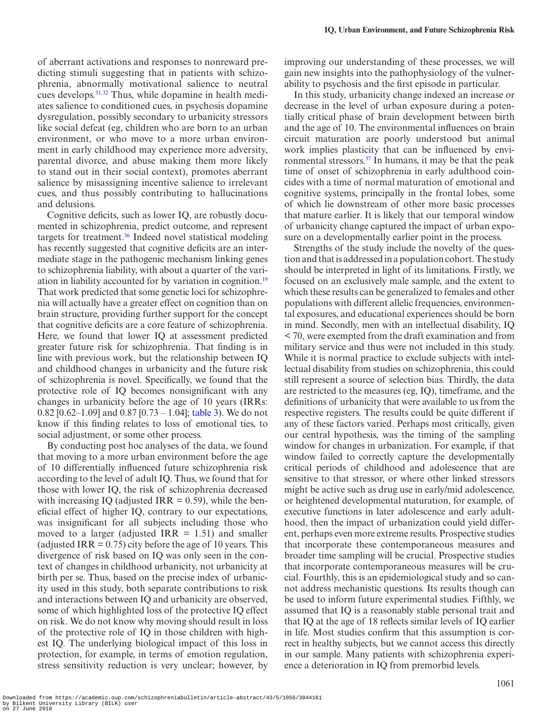of aberrant activations and responses to nonreward predicting stimuli suggesting that in patients with schizophrenia, abnormally motivational salience to neutral cues develops[.31,](#page-6-28)[32](#page-6-29) Thus, while dopamine in health mediates salience to conditioned cues, in psychosis dopamine dysregulation, possibly secondary to urbanicity stressors like social defeat (eg, children who are born to an urban environment, or who move to a more urban environment in early childhood may experience more adversity, parental divorce, and abuse making them more likely to stand out in their social context), promotes aberrant salience by misassigning incentive salience to irrelevant cues, and thus possibly contributing to hallucinations and delusions.

Cognitive deficits, such as lower IQ, are robustly documented in schizophrenia, predict outcome, and represent targets for treatment.<sup>36</sup> Indeed novel statistical modeling has recently suggested that cognitive deficits are an intermediate stage in the pathogenic mechanism linking genes to schizophrenia liability, with about a quarter of the vari-ation in liability accounted for by variation in cognition.<sup>[19](#page-6-16)</sup> That work predicted that some genetic loci for schizophrenia will actually have a greater effect on cognition than on brain structure, providing further support for the concept that cognitive deficits are a core feature of schizophrenia. Here, we found that lower IQ at assessment predicted greater future risk for schizophrenia. That finding is in line with previous work, but the relationship between IQ and childhood changes in urbanicity and the future risk of schizophrenia is novel. Specifically, we found that the protective role of IQ becomes nonsignificant with any changes in urbanicity before the age of 10 years (IRRs: 0.82 [0.62–1.09] and 0.87 [0.73 – 1.04]; [table 3\)](#page-4-0). We do not know if this finding relates to loss of emotional ties, to social adjustment, or some other process.

By conducting post hoc analyses of the data, we found that moving to a more urban environment before the age of 10 differentially influenced future schizophrenia risk according to the level of adult IQ. Thus, we found that for those with lower IQ, the risk of schizophrenia decreased with increasing IQ (adjusted IRR  $= 0.59$ ), while the beneficial effect of higher IQ, contrary to our expectations, was insignificant for all subjects including those who moved to a larger (adjusted IRR  $= 1.51$ ) and smaller (adjusted IRR =  $0.75$ ) city before the age of 10 years. This divergence of risk based on IQ was only seen in the context of changes in childhood urbanicity, not urbanicity at birth per se. Thus, based on the precise index of urbanicity used in this study, both separate contributions to risk and interactions between IQ and urbanicity are observed, some of which highlighted loss of the protective IQ effect on risk. We do not know why moving should result in loss of the protective role of IQ in those children with highest IQ. The underlying biological impact of this loss in protection, for example, in terms of emotion regulation, stress sensitivity reduction is very unclear; however, by

improving our understanding of these processes, we will gain new insights into the pathophysiology of the vulnerability to psychosis and the first episode in particular.

In this study, urbanicity change indexed an increase or decrease in the level of urban exposure during a potentially critical phase of brain development between birth and the age of 10. The environmental influences on brain circuit maturation are poorly understood but animal work implies plasticity that can be influenced by environmental stressors.<sup>37</sup> In humans, it may be that the peak time of onset of schizophrenia in early adulthood coincides with a time of normal maturation of emotional and cognitive systems, principally in the frontal lobes, some of which lie downstream of other more basic processes that mature earlier. It is likely that our temporal window of urbanicity change captured the impact of urban exposure on a developmentally earlier point in the process.

Strengths of the study include the novelty of the question and that is addressed in a population cohort. The study should be interpreted in light of its limitations. Firstly, we focused on an exclusively male sample, and the extent to which these results can be generalized to females and other populations with different allelic frequencies, environmental exposures, and educational experiences should be born in mind. Secondly, men with an intellectual disability, IQ < 70, were exempted from the draft examination and from military service and thus were not included in this study. While it is normal practice to exclude subjects with intellectual disability from studies on schizophrenia, this could still represent a source of selection bias. Thirdly, the data are restricted to the measures (eg, IQ), timeframe, and the definitions of urbanicity that were available to us from the respective registers. The results could be quite different if any of these factors varied. Perhaps most critically, given our central hypothesis, was the timing of the sampling window for changes in urbanization. For example, if that window failed to correctly capture the developmentally critical periods of childhood and adolescence that are sensitive to that stressor, or where other linked stressors might be active such as drug use in early/mid adolescence, or heightened developmental maturation, for example, of executive functions in later adolescence and early adulthood, then the impact of urbanization could yield different, perhaps even more extreme results. Prospective studies that incorporate these contemporaneous measures and broader time sampling will be crucial. Prospective studies that incorporate contemporaneous measures will be crucial. Fourthly, this is an epidemiological study and so cannot address mechanistic questions. Its results though can be used to inform future experimental studies. Fifthly, we assumed that IQ is a reasonably stable personal trait and that IQ at the age of 18 reflects similar levels of IQ earlier in life. Most studies confirm that this assumption is correct in healthy subjects, but we cannot access this directly in our sample. Many patients with schizophrenia experience a deterioration in IQ from premorbid levels.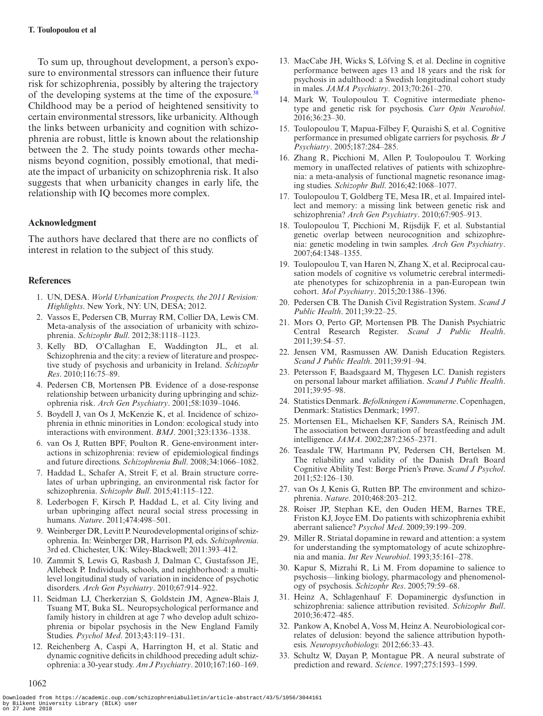To sum up, throughout development, a person's exposure to environmental stressors can influence their future risk for schizophrenia, possibly by altering the trajectory of the developing systems at the time of the exposure.<sup>[38](#page-7-4)</sup> Childhood may be a period of heightened sensitivity to certain environmental stressors, like urbanicity. Although the links between urbanicity and cognition with schizophrenia are robust, little is known about the relationship between the 2. The study points towards other mechanisms beyond cognition, possibly emotional, that mediate the impact of urbanicity on schizophrenia risk. It also suggests that when urbanicity changes in early life, the relationship with IQ becomes more complex.

# **Acknowledgment**

The authors have declared that there are no conflicts of interest in relation to the subject of this study.

# **References**

1062

- <span id="page-6-0"></span>1. UN, DESA. *World Urbanization Prospects, the 2011 Revision: Highlights*. New York, NY: UN, DESA; 2012.
- <span id="page-6-1"></span>2. Vassos E, Pedersen CB, Murray RM, Collier DA, Lewis CM. Meta-analysis of the association of urbanicity with schizophrenia. *Schizophr Bull*. 2012;38:1118–1123.
- <span id="page-6-2"></span>3. Kelly BD, O'Callaghan E, Waddington JL, et al. Schizophrenia and the city: a review of literature and prospective study of psychosis and urbanicity in Ireland. *Schizophr Res*. 2010;116:75–89.
- <span id="page-6-3"></span>4. Pedersen CB, Mortensen PB. Evidence of a dose-response relationship between urbanicity during upbringing and schizophrenia risk. *Arch Gen Psychiatry*. 2001;58:1039–1046.
- <span id="page-6-4"></span>5. Boydell J, van Os J, McKenzie K, et al. Incidence of schizophrenia in ethnic minorities in London: ecological study into interactions with environment. *BMJ*. 2001;323:1336–1338.
- <span id="page-6-5"></span>6. van Os J, Rutten BPF, Poulton R. Gene-environment interactions in schizophrenia: review of epidemiological findings and future directions. *Schizophrenia Bull*. 2008;34:1066–1082.
- <span id="page-6-6"></span>7. Haddad L, Schafer A, Streit F, et al. Brain structure correlates of urban upbringing, an environmental risk factor for schizophrenia. *Schizophr Bull*. 2015;41:115–122.
- <span id="page-6-7"></span>8. Lederbogen F, Kirsch P, Haddad L, et al. City living and urban upbringing affect neural social stress processing in humans. *Nature*. 2011;474:498–501.
- <span id="page-6-8"></span>9. Weinberger DR, Levitt P. Neurodevelopmental origins of schizophrenia. In: Weinberger DR, Harrison PJ, eds. *Schizophrenia*. 3rd ed. Chichester, UK: Wiley-Blackwell; 2011:393–412.
- <span id="page-6-9"></span>10. Zammit S, Lewis G, Rasbash J, Dalman C, Gustafsson JE, Allebeck P. Individuals, schools, and neighborhood: a multilevel longitudinal study of variation in incidence of psychotic disorders. *Arch Gen Psychiatry*. 2010;67:914–922.
- <span id="page-6-10"></span>11. Seidman LJ, Cherkerzian S, Goldstein JM, Agnew-Blais J, Tsuang MT, Buka SL. Neuropsychological performance and family history in children at age 7 who develop adult schizophrenia or bipolar psychosis in the New England Family Studies. *Psychol Med*. 2013;43:119–131.
- <span id="page-6-11"></span>12. Reichenberg A, Caspi A, Harrington H, et al. Static and dynamic cognitive deficits in childhood preceding adult schizophrenia: a 30-year study. *Am J Psychiatry*. 2010;167:160–169.
- <span id="page-6-12"></span>13. MacCabe JH, Wicks S, Löfving S, et al. Decline in cognitive performance between ages 13 and 18 years and the risk for psychosis in adulthood: a Swedish longitudinal cohort study in males. *JAMA Psychiatry*. 2013;70:261–270.
- <span id="page-6-13"></span>14. Mark W, Toulopoulou T. Cognitive intermediate phenotype and genetic risk for psychosis. *Curr Opin Neurobiol*. 2016;36:23–30.
- 15. Toulopoulou T, Mapua-Filbey F, Quraishi S, et al. Cognitive performance in presumed obligate carriers for psychosis. *Br J Psychiatry*. 2005;187:284–285.
- 16. Zhang R, Picchioni M, Allen P, Toulopoulou T. Working memory in unaffected relatives of patients with schizophrenia: a meta-analysis of functional magnetic resonance imaging studies. *Schizophr Bull*. 2016;42:1068–1077.
- <span id="page-6-14"></span>17. Toulopoulou T, Goldberg TE, Mesa IR, et al. Impaired intellect and memory: a missing link between genetic risk and schizophrenia? *Arch Gen Psychiatry*. 2010;67:905–913.
- <span id="page-6-15"></span>18. Toulopoulou T, Picchioni M, Rijsdijk F, et al. Substantial genetic overlap between neurocognition and schizophrenia: genetic modeling in twin samples. *Arch Gen Psychiatry*. 2007;64:1348–1355.
- <span id="page-6-16"></span>19. Toulopoulou T, van Haren N, Zhang X, et al. Reciprocal causation models of cognitive vs volumetric cerebral intermediate phenotypes for schizophrenia in a pan-European twin cohort. *Mol Psychiatry*. 2015;20:1386–1396.
- <span id="page-6-17"></span>20. Pedersen CB. The Danish Civil Registration System. *Scand J Public Health*. 2011;39:22–25.
- <span id="page-6-18"></span>21. Mors O, Perto GP, Mortensen PB. The Danish Psychiatric Central Research Register. *Scand J Public Health*. 2011;39:54–57.
- <span id="page-6-19"></span>22. Jensen VM, Rasmussen AW. Danish Education Registers. *Scand J Public Health*. 2011;39:91–94.
- <span id="page-6-20"></span>23. Petersson F, Baadsgaard M, Thygesen LC. Danish registers on personal labour market affiliation. *Scand J Public Health*. 2011;39:95–98.
- <span id="page-6-21"></span>24. Statistics Denmark. *Befolkningen i Kommunerne*. Copenhagen, Denmark: Statistics Denmark; 1997.
- <span id="page-6-22"></span>25. Mortensen EL, Michaelsen KF, Sanders SA, Reinisch JM. The association between duration of breastfeeding and adult intelligence. *JAMA*. 2002;287:2365–2371.
- <span id="page-6-23"></span>26. Teasdale TW, Hartmann PV, Pedersen CH, Bertelsen M. The reliability and validity of the Danish Draft Board Cognitive Ability Test: Børge Prien's Prøve. *Scand J Psychol*. 2011;52:126–130.
- <span id="page-6-24"></span>27. van Os J, Kenis G, Rutten BP. The environment and schizophrenia. *Nature*. 2010;468:203–212.
- <span id="page-6-25"></span>28. Roiser JP, Stephan KE, den Ouden HEM, Barnes TRE, Friston KJ, Joyce EM. Do patients with schizophrenia exhibit aberrant salience? *Psychol Med*. 2009;39:199–209.
- <span id="page-6-26"></span>29. Miller R. Striatal dopamine in reward and attention: a system for understanding the symptomatology of acute schizophrenia and mania. *Int Rev Neurobiol*. 1993;35:161–278.
- <span id="page-6-27"></span>30. Kapur S, Mizrahi R, Li M. From dopamine to salience to psychosis—linking biology, pharmacology and phenomenology of psychosis. *Schizophr Res*. 2005;79:59–68.
- <span id="page-6-28"></span>31. Heinz A, Schlagenhauf F. Dopaminergic dysfunction in schizophrenia: salience attribution revisited. *Schizophr Bull*. 2010;36:472–485.
- <span id="page-6-29"></span>32. Pankow A, Knobel A, Voss M, Heinz A. Neurobiological correlates of delusion: beyond the salience attribution hypothesis. *Neuropsychobiology.* 2012;66:33–43.
- <span id="page-6-30"></span>33. Schultz W, Dayan P, Montague PR. A neural substrate of prediction and reward. *Science*. 1997;275:1593–1599.